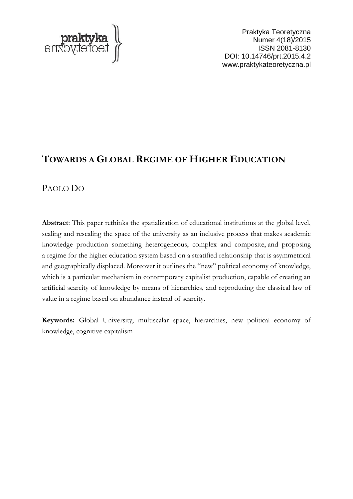

Praktyka Teoretyczna Numer 4(18)/2015 ISSN 2081-8130 DOI: 10.14746/prt.2015.4.2 www.praktykateoretyczna.pl

# **TOWARDS A GLOBAL REGIME OF HIGHER EDUCATION**

# PAOLO DO

**Abstract**: This paper rethinks the spatialization of educational institutions at the global level, scaling and rescaling the space of the university as an inclusive process that makes academic knowledge production something heterogeneous, complex and composite, and proposing a regime for the higher education system based on a stratified relationship that is asymmetrical and geographically displaced. Moreover it outlines the "new" political economy of knowledge, which is a particular mechanism in contemporary capitalist production, capable of creating an artificial scarcity of knowledge by means of hierarchies, and reproducing the classical law of value in a regime based on abundance instead of scarcity.

**Keywords:** Global University, multiscalar space, hierarchies, new political economy of knowledge, cognitive capitalism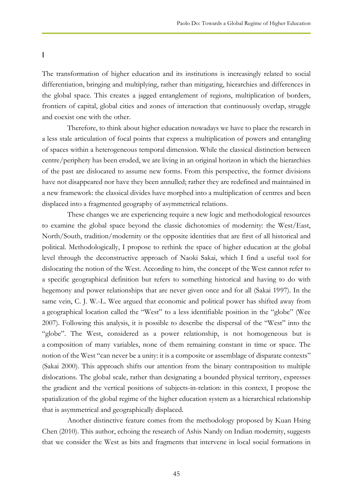I

The transformation of higher education and its institutions is increasingly related to social differentiation, bringing and multiplying, rather than mitigating, hierarchies and differences in the global space. This creates a jagged entanglement of regions, multiplication of borders, frontiers of capital, global cities and zones of interaction that continuously overlap, struggle and coexist one with the other.

Therefore, to think about higher education nowadays we have to place the research in a less stale articulation of focal points that express a multiplication of powers and entangling of spaces within a heterogeneous temporal dimension. While the classical distinction between centre/periphery has been eroded, we are living in an original horizon in which the hierarchies of the past are dislocated to assume new forms. From this perspective, the former divisions have not disappeared nor have they been annulled; rather they are redefined and maintained in a new framework: the classical divides have morphed into a multiplication of centres and been displaced into a fragmented geography of asymmetrical relations.

These changes we are experiencing require a new logic and methodological resources to examine the global space beyond the classic dichotomies of modernity: the West/East, North/South, tradition/modernity or the opposite identities that are first of all historical and political. Methodologically, I propose to rethink the space of higher education at the global level through the deconstructive approach of Naoki Sakai, which I find a useful tool for dislocating the notion of the West. According to him, the concept of the West cannot refer to a specific geographical definition but refers to something historical and having to do with hegemony and power relationships that are never given once and for all (Sakai 1997). In the same vein, C. J. W.-L. Wee argued that economic and political power has shifted away from a geographical location called the "West" to a less identifiable position in the "globe" (Wee 2007). Following this analysis, it is possible to describe the dispersal of the "West" into the "globe". The West, considered as a power relationship, is not homogeneous but is a composition of many variables, none of them remaining constant in time or space. The notion of the West "can never be a unity: it is a composite or assemblage of disparate contexts" (Sakai 2000). This approach shifts our attention from the binary contraposition to multiple dislocations. The global scale, rather than designating a bounded physical territory, expresses the gradient and the vertical positions of subjects-in-relation: in this context, I propose the spatialization of the global regime of the higher education system as a hierarchical relationship that is asymmetrical and geographically displaced.

Another distinctive feature comes from the methodology proposed by Kuan Hsing Chen (2010). This author, echoing the research of Ashis Nandy on Indian modernity, suggests that we consider the West as bits and fragments that intervene in local social formations in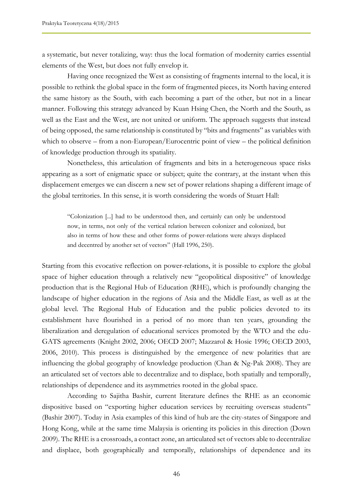a systematic, but never totalizing, way: thus the local formation of modernity carries essential elements of the West, but does not fully envelop it.

Having once recognized the West as consisting of fragments internal to the local, it is possible to rethink the global space in the form of fragmented pieces, its North having entered the same history as the South, with each becoming a part of the other, but not in a linear manner. Following this strategy advanced by Kuan Hsing Chen, the North and the South, as well as the East and the West, are not united or uniform. The approach suggests that instead of being opposed, the same relationship is constituted by "bits and fragments" as variables with which to observe – from a non-European/Eurocentric point of view – the political definition of knowledge production through its spatiality.

Nonetheless, this articulation of fragments and bits in a heterogeneous space risks appearing as a sort of enigmatic space or subject; quite the contrary, at the instant when this displacement emerges we can discern a new set of power relations shaping a different image of the global territories. In this sense, it is worth considering the words of Stuart Hall:

"Colonization [...] had to be understood then, and certainly can only be understood now, in terms, not only of the vertical relation between colonizer and colonized, but also in terms of how these and other forms of power-relations were always displaced and decentred by another set of vectors" (Hall 1996, 250).

Starting from this evocative reflection on power-relations, it is possible to explore the global space of higher education through a relatively new "geopolitical dispositive" of knowledge production that is the Regional Hub of Education (RHE), which is profoundly changing the landscape of higher education in the regions of Asia and the Middle East, as well as at the global level. The Regional Hub of Education and the public policies devoted to its establishment have flourished in a period of no more than ten years, grounding the liberalization and deregulation of educational services promoted by the WTO and the edu-GATS agreements (Knight 2002, 2006; OECD 2007; Mazzarol & Hosie 1996; OECD 2003, 2006, 2010). This process is distinguished by the emergence of new polarities that are influencing the global geography of knowledge production (Chan & Ng-Pak 2008). They are an articulated set of vectors able to decentralize and to displace, both spatially and temporally, relationships of dependence and its asymmetries rooted in the global space.

According to Sajitha Bashir, current literature defines the RHE as an economic dispositive based on "exporting higher education services by recruiting overseas students" (Bashir 2007). Today in Asia examples of this kind of hub are the city-states of Singapore and Hong Kong, while at the same time Malaysia is orienting its policies in this direction (Down 2009). The RHE is a crossroads, a contact zone, an articulated set of vectors able to decentralize and displace, both geographically and temporally, relationships of dependence and its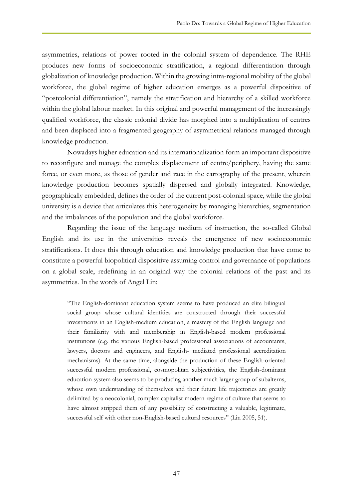asymmetries, relations of power rooted in the colonial system of dependence. The RHE produces new forms of socioeconomic stratification, a regional differentiation through globalization of knowledge production. Within the growing intra-regional mobility of the global workforce, the global regime of higher education emerges as a powerful dispositive of "postcolonial differentiation", namely the stratification and hierarchy of a skilled workforce within the global labour market. In this original and powerful management of the increasingly qualified workforce, the classic colonial divide has morphed into a multiplication of centres and been displaced into a fragmented geography of asymmetrical relations managed through knowledge production.

Nowadays higher education and its internationalization form an important dispositive to reconfigure and manage the complex displacement of centre/periphery, having the same force, or even more, as those of gender and race in the cartography of the present, wherein knowledge production becomes spatially dispersed and globally integrated. Knowledge, geographically embedded, defines the order of the current post-colonial space, while the global university is a device that articulates this heterogeneity by managing hierarchies, segmentation and the imbalances of the population and the global workforce.

Regarding the issue of the language medium of instruction, the so-called Global English and its use in the universities reveals the emergence of new socioeconomic stratifications. It does this through education and knowledge production that have come to constitute a powerful biopolitical dispositive assuming control and governance of populations on a global scale, redefining in an original way the colonial relations of the past and its asymmetries. In the words of Angel Lin:

"The English-dominant education system seems to have produced an elite bilingual social group whose cultural identities are constructed through their successful investments in an English-medium education, a mastery of the English language and their familiarity with and membership in English-based modern professional institutions (e.g. the various English-based professional associations of accountants, lawyers, doctors and engineers, and English- mediated professional accreditation mechanisms). At the same time, alongside the production of these English-oriented successful modern professional, cosmopolitan subjectivities, the English-dominant education system also seems to be producing another much larger group of subalterns, whose own understanding of themselves and their future life trajectories are greatly delimited by a neocolonial, complex capitalist modern regime of culture that seems to have almost stripped them of any possibility of constructing a valuable, legitimate, successful self with other non-English-based cultural resources" (Lin 2005, 51).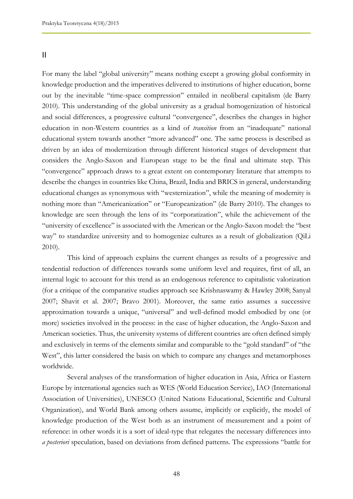II

For many the label "global university" means nothing except a growing global conformity in knowledge production and the imperatives delivered to institutions of higher education, borne out by the inevitable "time-space compression" entailed in neoliberal capitalism (de Barry 2010). This understanding of the global university as a gradual homogenization of historical and social differences, a progressive cultural "convergence", describes the changes in higher education in non-Western countries as a kind of *transition* from an "inadequate" national educational system towards another "more advanced" one. The same process is described as driven by an idea of modernization through different historical stages of development that considers the Anglo-Saxon and European stage to be the final and ultimate step. This "convergence" approach draws to a great extent on contemporary literature that attempts to describe the changes in countries like China, Brazil, India and BRICS in general, understanding educational changes as synonymous with "westernization", while the meaning of modernity is nothing more than "Americanization" or "Europeanization" (de Barry 2010). The changes to knowledge are seen through the lens of its "corporatization", while the achievement of the "university of excellence" is associated with the American or the Anglo-Saxon model: the "best way" to standardize university and to homogenize cultures as a result of globalization (QiLi 2010).

This kind of approach explains the current changes as results of a progressive and tendential reduction of differences towards some uniform level and requires, first of all, an internal logic to account for this trend as an endogenous reference to capitalistic valorization (for a critique of the comparative studies approach see Krishnaswamy & Hawley 2008; Sanyal 2007; Shavit et al. 2007; Bravo 2001). Moreover, the same ratio assumes a successive approximation towards a unique, "universal" and well-defined model embodied by one (or more) societies involved in the process: in the case of higher education, the Anglo-Saxon and American societies. Thus, the university systems of different countries are often defined simply and exclusively in terms of the elements similar and comparable to the "gold standard" of "the West", this latter considered the basis on which to compare any changes and metamorphoses worldwide.

Several analyses of the transformation of higher education in Asia, Africa or Eastern Europe by international agencies such as WES (World Education Service), IAO (International Association of Universities), UNESCO (United Nations Educational, Scientific and Cultural Organization), and World Bank among others assume, implicitly or explicitly, the model of knowledge production of the West both as an instrument of measurement and a point of reference: in other words it is a sort of ideal-type that relegates the necessary differences into *a posteriori* speculation, based on deviations from defined patterns. The expressions "battle for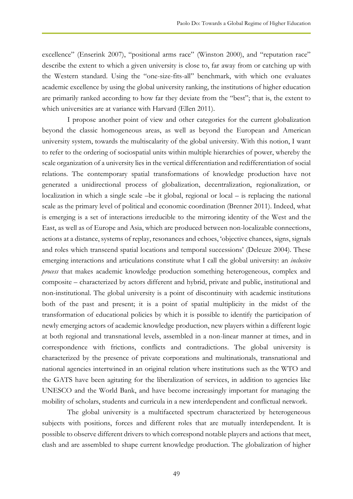excellence" (Enserink 2007), "positional arms race" (Winston 2000), and "reputation race" describe the extent to which a given university is close to, far away from or catching up with the Western standard. Using the "one-size-fits-all" benchmark, with which one evaluates academic excellence by using the global university ranking, the institutions of higher education are primarily ranked according to how far they deviate from the "best"; that is, the extent to which universities are at variance with Harvard (Ellen 2011).

I propose another point of view and other categories for the current globalization beyond the classic homogeneous areas, as well as beyond the European and American university system, towards the multiscalarity of the global university. With this notion, I want to refer to the ordering of sociospatial units within multiple hierarchies of power, whereby the scale organization of a university lies in the vertical differentiation and redifferentiation of social relations. The contemporary spatial transformations of knowledge production have not generated a unidirectional process of globalization, decentralization, regionalization, or localization in which a single scale –be it global, regional or local – is replacing the national scale as the primary level of political and economic coordination (Brenner 2011). Indeed, what is emerging is a set of interactions irreducible to the mirroring identity of the West and the East, as well as of Europe and Asia, which are produced between non-localizable connections, actions at a distance, systems of replay, resonances and echoes, 'objective chances, signs, signals and roles which transcend spatial locations and temporal successions' (Deleuze 2004). These emerging interactions and articulations constitute what I call the global university: an *inclusive process* that makes academic knowledge production something heterogeneous, complex and composite – characterized by actors different and hybrid, private and public, institutional and non-institutional. The global university is a point of discontinuity with academic institutions both of the past and present; it is a point of spatial multiplicity in the midst of the transformation of educational policies by which it is possible to identify the participation of newly emerging actors of academic knowledge production, new players within a different logic at both regional and transnational levels, assembled in a non-linear manner at times, and in correspondence with frictions, conflicts and contradictions. The global university is characterized by the presence of private corporations and multinationals, transnational and national agencies intertwined in an original relation where institutions such as the WTO and the GATS have been agitating for the liberalization of services, in addition to agencies like UNESCO and the World Bank, and have become increasingly important for managing the mobility of scholars, students and curricula in a new interdependent and conflictual network.

The global university is a multifaceted spectrum characterized by heterogeneous subjects with positions, forces and different roles that are mutually interdependent. It is possible to observe different drivers to which correspond notable players and actions that meet, clash and are assembled to shape current knowledge production. The globalization of higher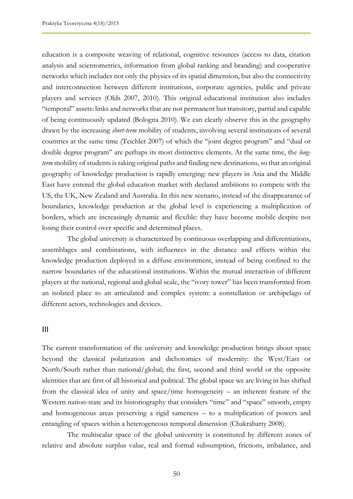education is a composite weaving of relational, cognitive resources (access to data, citation analysis and scientometrics, information from global ranking and branding) and cooperative networks which includes not only the physics of its spatial dimension, but also the connectivity and interconnection between different institutions, corporate agencies, public and private players and services (Olds 2007, 2010). This original educational institution also includes "temporal" assets: links and networks that are not permanent but transitory, partial and capable of being continuously updated (Bologna 2010). We can clearly observe this in the geography drawn by the increasing *short-term* mobility of students, involving several institutions of several countries at the same time (Teichler 2007) of which the "joint degree program" and "dual or double degree program" are perhaps its most distinctive elements. At the same time, the *longterm* mobility of students is taking original paths and finding new destinations, so that an original geography of knowledge production is rapidly emerging: new players in Asia and the Middle East have entered the global education market with declared ambitions to compete with the US, the UK, New Zealand and Australia. In this new scenario, instead of the disappearance of boundaries, knowledge production at the global level is experiencing a multiplication of borders, which are increasingly dynamic and flexible: they have become mobile despite not losing their control over specific and determined places.

The global university is characterized by continuous overlapping and differentiations, assemblages and combinations, with influences in the distance and effects within the knowledge production deployed in a diffuse environment, instead of being confined to the narrow boundaries of the educational institutions. Within the mutual interaction of different players at the national, regional and global scale, the "ivory tower" has been transformed from an isolated place to an articulated and complex system: a constellation or archipelago of different actors, technologies and devices.

#### III

The current transformation of the university and knowledge production brings about space beyond the classical polarization and dichotomies of modernity: the West/East or North/South rather than national/global; the first, second and third world or the opposite identities that are first of all historical and political. The global space we are living in has shifted from the classical idea of unity and space/time homogeneity – an inherent feature of the Western nation-state and its historiography that considers "time" and "space" smooth, empty and homogeneous areas preserving a rigid sameness – to a multiplication of powers and entangling of spaces within a heterogeneous temporal dimension (Chakrabarty 2008).

The multiscalar space of the global university is constituted by different zones of relative and absolute surplus value, real and formal subsumption, frictions, imbalance, and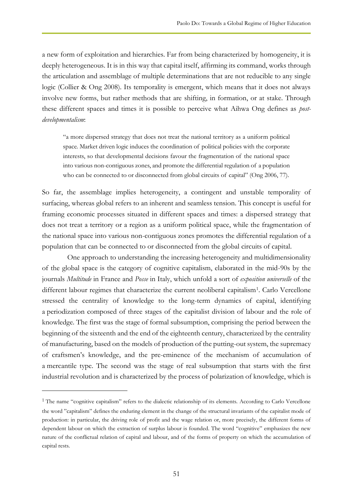a new form of exploitation and hierarchies. Far from being characterized by homogeneity, it is deeply heterogeneous. It is in this way that capital itself, affirming its command, works through the articulation and assemblage of multiple determinations that are not reducible to any single logic (Collier & Ong 2008). Its temporality is emergent, which means that it does not always involve new forms, but rather methods that are shifting, in formation, or at stake. Through these different spaces and times it is possible to perceive what Aihwa Ong defines as *postdevelopmentalism*:

"a more dispersed strategy that does not treat the national territory as a uniform political space. Market driven logic induces the coordination of political policies with the corporate interests, so that developmental decisions favour the fragmentation of the national space into various non-contiguous zones, and promote the differential regulation of a population who can be connected to or disconnected from global circuits of capital" (Ong 2006, 77).

So far, the assemblage implies heterogeneity, a contingent and unstable temporality of surfacing, whereas global refers to an inherent and seamless tension. This concept is useful for framing economic processes situated in different spaces and times: a dispersed strategy that does not treat a territory or a region as a uniform political space, while the fragmentation of the national space into various non-contiguous zones promotes the differential regulation of a population that can be connected to or disconnected from the global circuits of capital.

One approach to understanding the increasing heterogeneity and multidimensionality of the global space is the category of cognitive capitalism, elaborated in the mid-90s by the journals *Multitude* in France and *Posse* in Italy, which unfold a sort of *exposition universelle* of the different labour regimes that characterize the current neoliberal capitalism<sup>1</sup>. Carlo Vercellone stressed the centrality of knowledge to the long-term dynamics of capital, identifying a periodization composed of three stages of the capitalist division of labour and the role of knowledge. The first was the stage of formal subsumption, comprising the period between the beginning of the sixteenth and the end of the eighteenth century, characterized by the centrality of manufacturing, based on the models of production of the putting-out system, the supremacy of craftsmen's knowledge, and the pre-eminence of the mechanism of accumulation of a mercantile type. The second was the stage of real subsumption that starts with the first industrial revolution and is characterized by the process of polarization of knowledge, which is

 $\overline{a}$ 

<sup>&</sup>lt;sup>1</sup> The name "cognitive capitalism" refers to the dialectic relationship of its elements. According to Carlo Vercellone the word "capitalism" defines the enduring element in the change of the structural invariants of the capitalist mode of production: in particular, the driving role of profit and the wage relation or, more precisely, the different forms of dependent labour on which the extraction of surplus labour is founded. The word "cognitive" emphasizes the new nature of the conflictual relation of capital and labour, and of the forms of property on which the accumulation of capital rests.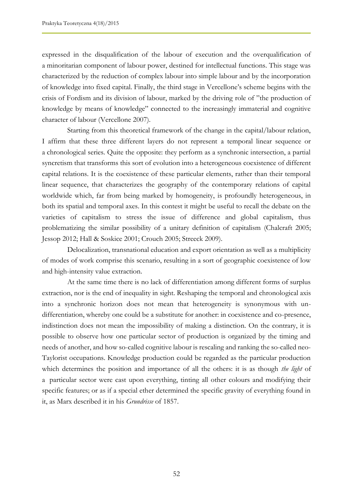expressed in the disqualification of the labour of execution and the overqualification of a minoritarian component of labour power, destined for intellectual functions. This stage was characterized by the reduction of complex labour into simple labour and by the incorporation of knowledge into fixed capital. Finally, the third stage in Vercellone's scheme begins with the crisis of Fordism and its division of labour, marked by the driving role of "the production of knowledge by means of knowledge" connected to the increasingly immaterial and cognitive character of labour (Vercellone 2007).

Starting from this theoretical framework of the change in the capital/labour relation, I affirm that these three different layers do not represent a temporal linear sequence or a chronological series. Quite the opposite: they perform as a synchronic intersection, a partial syncretism that transforms this sort of evolution into a heterogeneous coexistence of different capital relations. It is the coexistence of these particular elements, rather than their temporal linear sequence, that characterizes the geography of the contemporary relations of capital worldwide which, far from being marked by homogeneity, is profoundly heterogeneous, in both its spatial and temporal axes. In this contest it might be useful to recall the debate on the varieties of capitalism to stress the issue of difference and global capitalism, thus problematizing the similar possibility of a unitary definition of capitalism (Chalcraft 2005; Jessop 2012; Hall & Soskice 2001; Crouch 2005; Streeck 2009).

Delocalization, transnational education and export orientation as well as a multiplicity of modes of work comprise this scenario, resulting in a sort of geographic coexistence of low and high-intensity value extraction.

At the same time there is no lack of differentiation among different forms of surplus extraction, nor is the end of inequality in sight. Reshaping the temporal and chronological axis into a synchronic horizon does not mean that heterogeneity is synonymous with undifferentiation, whereby one could be a substitute for another: in coexistence and co-presence, indistinction does not mean the impossibility of making a distinction. On the contrary, it is possible to observe how one particular sector of production is organized by the timing and needs of another, and how so-called cognitive labour is rescaling and ranking the so-called neo-Taylorist occupations. Knowledge production could be regarded as the particular production which determines the position and importance of all the others: it is as though *the light* of a particular sector were cast upon everything, tinting all other colours and modifying their specific features; or as if a special ether determined the specific gravity of everything found in it, as Marx described it in his *Grundrisse* of 1857.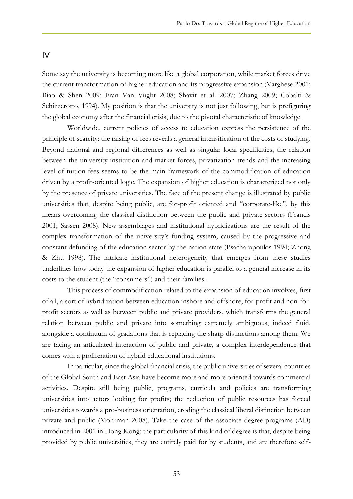#### IV

Some say the university is becoming more like a global corporation, while market forces drive the current transformation of higher education and its progressive expansion (Varghese 2001; Biao & Shen 2009; Fran Van Vught 2008; Shavit et al. 2007; Zhang 2009; Cobalti & Schizzerotto, 1994). My position is that the university is not just following, but is prefiguring the global economy after the financial crisis, due to the pivotal characteristic of knowledge.

Worldwide, current policies of access to education express the persistence of the principle of scarcity: the raising of fees reveals a general intensification of the costs of studying. Beyond national and regional differences as well as singular local specificities, the relation between the university institution and market forces, privatization trends and the increasing level of tuition fees seems to be the main framework of the commodification of education driven by a profit-oriented logic. The expansion of higher education is characterized not only by the presence of private universities. The face of the present change is illustrated by public universities that, despite being public, are for-profit oriented and "corporate-like", by this means overcoming the classical distinction between the public and private sectors (Francis 2001; Sassen 2008). New assemblages and institutional hybridizations are the result of the complex transformation of the university's funding system, caused by the progressive and constant defunding of the education sector by the nation-state (Psacharopoulos 1994; Zhong & Zhu 1998). The intricate institutional heterogeneity that emerges from these studies underlines how today the expansion of higher education is parallel to a general increase in its costs to the student (the "consumers") and their families.

This process of commodification related to the expansion of education involves, first of all, a sort of hybridization between education inshore and offshore, for-profit and non-forprofit sectors as well as between public and private providers, which transforms the general relation between public and private into something extremely ambiguous, indeed fluid, alongside a continuum of gradations that is replacing the sharp distinctions among them. We are facing an articulated interaction of public and private, a complex interdependence that comes with a proliferation of hybrid educational institutions.

In particular, since the global financial crisis, the public universities of several countries of the Global South and East Asia have become more and more oriented towards commercial activities. Despite still being public, programs, curricula and policies are transforming universities into actors looking for profits; the reduction of public resources has forced universities towards a pro-business orientation, eroding the classical liberal distinction between private and public (Mohrman 2008). Take the case of the associate degree programs (AD) introduced in 2001 in Hong Kong: the particularity of this kind of degree is that, despite being provided by public universities, they are entirely paid for by students, and are therefore self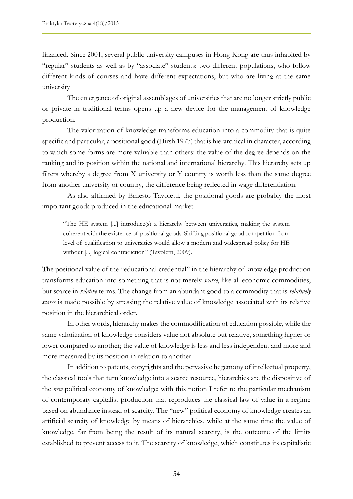financed. Since 2001, several public university campuses in Hong Kong are thus inhabited by "regular" students as well as by "associate" students: two different populations, who follow different kinds of courses and have different expectations, but who are living at the same university

The emergence of original assemblages of universities that are no longer strictly public or private in traditional terms opens up a new device for the management of knowledge production.

The valorization of knowledge transforms education into a commodity that is quite specific and particular, a positional good (Hirsh 1977) that is hierarchical in character, according to which some forms are more valuable than others: the value of the degree depends on the ranking and its position within the national and international hierarchy. This hierarchy sets up filters whereby a degree from X university or Y country is worth less than the same degree from another university or country, the difference being reflected in wage differentiation.

As also affirmed by Ernesto Tavoletti, the positional goods are probably the most important goods produced in the educational market:

"The HE system  $\left[\ldots\right]$  introduce(s) a hierarchy between universities, making the system coherent with the existence of positional goods. Shifting positional good competition from level of qualification to universities would allow a modern and widespread policy for HE without [...] logical contradiction" (Tavoletti, 2009).

The positional value of the "educational credential" in the hierarchy of knowledge production transforms education into something that is not merely *scarce*, like all economic commodities, but scarce in *relative* terms. The change from an abundant good to a commodity that is *relatively scarce* is made possible by stressing the relative value of knowledge associated with its relative position in the hierarchical order.

In other words, hierarchy makes the commodification of education possible, while the same valorization of knowledge considers value not absolute but relative, something higher or lower compared to another; the value of knowledge is less and less independent and more and more measured by its position in relation to another.

In addition to patents, copyrights and the pervasive hegemony of intellectual property, the classical tools that turn knowledge into a scarce resource, hierarchies are the dispositive of the *new* political economy of knowledge; with this notion I refer to the particular mechanism of contemporary capitalist production that reproduces the classical law of value in a regime based on abundance instead of scarcity. The "new" political economy of knowledge creates an artificial scarcity of knowledge by means of hierarchies, while at the same time the value of knowledge, far from being the result of its natural scarcity, is the outcome of the limits established to prevent access to it. The scarcity of knowledge, which constitutes its capitalistic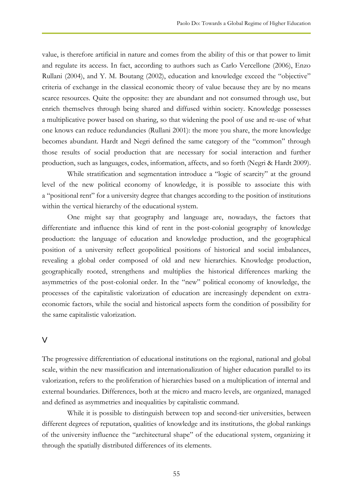value, is therefore artificial in nature and comes from the ability of this or that power to limit and regulate its access. In fact, according to authors such as Carlo Vercellone (2006), Enzo Rullani (2004), and Y. M. Boutang (2002), education and knowledge exceed the "objective" criteria of exchange in the classical economic theory of value because they are by no means scarce resources. Quite the opposite: they are abundant and not consumed through use, but enrich themselves through being shared and diffused within society. Knowledge possesses a multiplicative power based on sharing, so that widening the pool of use and re-use of what one knows can reduce redundancies (Rullani 2001): the more you share, the more knowledge becomes abundant. Hardt and Negri defined the same category of the "common" through those results of social production that are necessary for social interaction and further production, such as languages, codes, information, affects, and so forth (Negri & Hardt 2009).

While stratification and segmentation introduce a "logic of scarcity" at the ground level of the new political economy of knowledge, it is possible to associate this with a "positional rent" for a university degree that changes according to the position of institutions within the vertical hierarchy of the educational system.

One might say that geography and language are, nowadays, the factors that differentiate and influence this kind of rent in the post-colonial geography of knowledge production: the language of education and knowledge production, and the geographical position of a university reflect geopolitical positions of historical and social imbalances, revealing a global order composed of old and new hierarchies. Knowledge production, geographically rooted, strengthens and multiplies the historical differences marking the asymmetries of the post-colonial order. In the "new" political economy of knowledge, the processes of the capitalistic valorization of education are increasingly dependent on extraeconomic factors, while the social and historical aspects form the condition of possibility for the same capitalistic valorization.

#### V

The progressive differentiation of educational institutions on the regional, national and global scale, within the new massification and internationalization of higher education parallel to its valorization, refers to the proliferation of hierarchies based on a multiplication of internal and external boundaries. Differences, both at the micro and macro levels, are organized, managed and defined as asymmetries and inequalities by capitalistic command.

While it is possible to distinguish between top and second-tier universities, between different degrees of reputation, qualities of knowledge and its institutions, the global rankings of the university influence the "architectural shape" of the educational system, organizing it through the spatially distributed differences of its elements.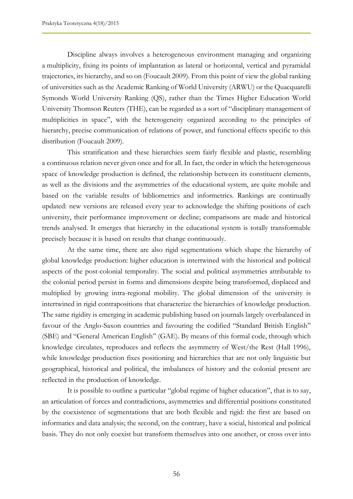Discipline always involves a heterogeneous environment managing and organizing a multiplicity, fixing its points of implantation as lateral or horizontal, vertical and pyramidal trajectories, its hierarchy, and so on (Foucault 2009). From this point of view the global ranking of universities such as the Academic Ranking of World University (ARWU) or the Quacquarelli Symonds World University Ranking (QS), rather than the Times Higher Education World University Thomson Reuters (THE), can be regarded as a sort of "disciplinary management of multiplicities in space", with the heterogeneity organized according to the principles of hierarchy, precise communication of relations of power, and functional effects specific to this distribution (Foucault 2009).

This stratification and these hierarchies seem fairly flexible and plastic, resembling a continuous relation never given once and for all. In fact, the order in which the heterogeneous space of knowledge production is defined, the relationship between its constituent elements, as well as the divisions and the asymmetries of the educational system, are quite mobile and based on the variable results of bibliometrics and informetrics. Rankings are continually updated: new versions are released every year to acknowledge the shifting positions of each university, their performance improvement or decline; comparisons are made and historical trends analysed. It emerges that hierarchy in the educational system is totally transformable precisely because it is based on results that change continuously.

At the same time, there are also rigid segmentations which shape the hierarchy of global knowledge production: higher education is intertwined with the historical and political aspects of the post-colonial temporality. The social and political asymmetries attributable to the colonial period persist in forms and dimensions despite being transformed, displaced and multiplied by growing intra-regional mobility. The global dimension of the university is intertwined in rigid contrapositions that characterize the hierarchies of knowledge production. The same rigidity is emerging in academic publishing based on journals largely overbalanced in favour of the Anglo-Saxon countries and favouring the codified "Standard British English" (SBE) and "General American English" (GAE). By means of this formal code, through which knowledge circulates, reproduces and reflects the asymmetry of West/the Rest (Hall 1996), while knowledge production fixes positioning and hierarchies that are not only linguistic but geographical, historical and political, the imbalances of history and the colonial present are reflected in the production of knowledge.

It is possible to outline a particular "global regime of higher education", that is to say, an articulation of forces and contradictions, asymmetries and differential positions constituted by the coexistence of segmentations that are both flexible and rigid: the first are based on informatics and data analysis; the second, on the contrary, have a social, historical and political basis. They do not only coexist but transform themselves into one another, or cross over into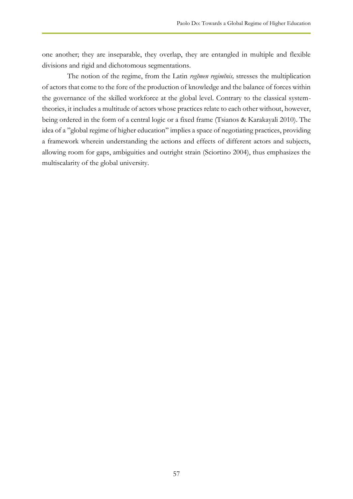one another; they are inseparable, they overlap, they are entangled in multiple and flexible divisions and rigid and dichotomous segmentations.

The notion of the regime, from the Latin *regĭmen regimĭnis,* stresses the multiplication of actors that come to the fore of the production of knowledge and the balance of forces within the governance of the skilled workforce at the global level. Contrary to the classical systemtheories, it includes a multitude of actors whose practices relate to each other without, however, being ordered in the form of a central logic or a fixed frame (Tsianos & Karakayali 2010). The idea of a "global regime of higher education" implies a space of negotiating practices, providing a framework wherein understanding the actions and effects of different actors and subjects, allowing room for gaps, ambiguities and outright strain (Sciortino 2004), thus emphasizes the multiscalarity of the global university.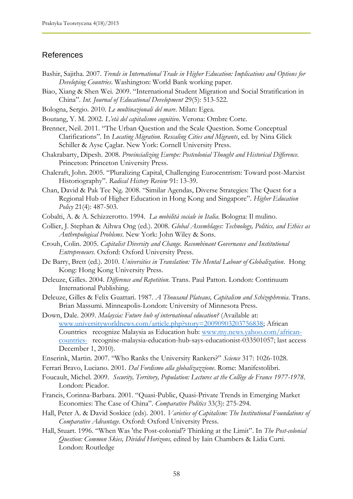### References

- Bashir, Sajitha. 2007. *Trends in International Trade in Higher Education: Implications and Options for Developing Countries*. Washington: World Bank working paper.
- Biao, Xiang & Shen Wei. 2009. "International Student Migration and Social Stratification in China". *Int. Journal of Educational Development* 29(5): 513-522.
- Bologna, Sergio. 2010. *Le multinazionali del mare*. Milan: Egea.
- Boutang, Y. M. 2002. *L'età del capitalismo cognitivo*. Verona: Ombre Corte.
- Brenner, Neil. 2011. "The Urban Question and the Scale Question. Some Conceptual Clarifications". In *Locating Migration. Rescaling Cities and Migrants*, ed. by Nina Glick Schiller & Ayse Çaglar. New York: Cornell University Press.
- Chakrabarty, Dipesh. 2008. *Provincializing Europe: Postcolonial Thought and Historical Difference.* Princeton: Princeton University Press.
- Chalcraft, John. 2005. "Pluralizing Capital, Challenging Eurocentrism: Toward post-Marxist Historiography". *Radical History Review* 91: 13-39.
- Chan, David & Pak Tee Ng. 2008. "Similar Agendas, Diverse Strategies: The Quest for a Regional Hub of Higher Education in Hong Kong and Singapore". *Higher Education Policy* 21(4): 487-503.
- Cobalti, A. & A. Schizzerotto. 1994. *La mobilità sociale in Italia*. Bologna: Il mulino.
- Collier, J. Stephan & Aihwa Ong (ed.). 2008. *Global Assemblages: Technology, Politics, and Ethics as Anthropological Problems*. New York: John Wiley & Sons.
- Crouh, Colin. 2005. *Capitalist Diversity and Change. Recombinant Governance and Institutional Entrepreneurs*. Oxford: Oxford University Press.
- De Barry, Brett (ed.). 2010. *Universities in Translation: The Mental Labour of Globalization*. Hong Kong: Hong Kong University Press.
- Deleuze, Gilles. 2004. *Difference and Repetition*. Trans. Paul Patton. London: Continuum International Publishing.
- Deleuze, Gilles & Felix Guattari. 1987. *A Thousand Plateaus, Capitalism and Schizophrenia*. Trans. Brian Massumi. Minneapolis-London: University of Minnesota Press.
- Down, Dale. 2009. *Malaysia: Future hub of international education?* (Available at: [www.universityworldnews.com/article.php?story=20090903203756838;](http://www.universityworldnews.com/article.php?story=20090903203756838) African Countries recognize Malaysia as Education hub: [www.my.news.yahoo.com/african](http://www.my.news.yahoo.com/african-countries-)[countries-](http://www.my.news.yahoo.com/african-countries-) recognise-malaysia-education-hub-says-educationist-033501057; last access December 1, 2010).
- Enserink, Martin. 2007. "Who Ranks the University Rankers?" *Science* 317: 1026-1028.
- Ferrari Bravo, Luciano. 2001. *Dal Fordismo alla globalizazzione*. Rome: Manifestolibri.
- Foucault, Michel. 2009. *Security, Territory, Population: Lectures at the Collège de France 1977-1978*. London: Picador.
- Francis, Corinna-Barbara. 2001. "Quasi-Public, Quasi-Private Trends in Emerging Market Economies: The Case of China". *Comparative Politics* 33(3): 275-294.
- Hall, Peter A. & David Soskice (eds). 2001. *Varieties of Capitalism: The Institutional Foundations of Comparative Advantage*. Oxford: Oxford University Press.
- Hall, Stuart. 1996. "When Was 'the Post-colonial'? Thinking at the Limit". In *The Post-colonial Question: Common Skies, Divided Horizons,* edited by Iain Chambers & Lidia Curti. London: Routledge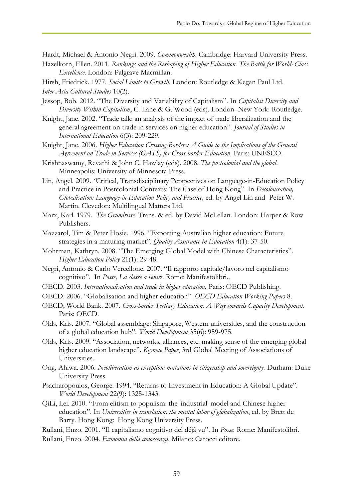Hardt, Michael & Antonio Negri. 2009. *Commonwealth*. Cambridge: Harvard University Press.

Hazelkorn, Ellen. 2011. *Rankings and the Reshaping of Higher Education. The Battle for World-Class Excellence*. London: Palgrave Macmillan.

Hirsh, Friedrick. 1977. *Social Limits to Growth*. London: Routledge & Kegan Paul Ltd. *Inter-Asia Cultural Studies* 10(2).

- Jessop, Bob. 2012. "The Diversity and Variability of Capitalism". In *Capitalist Diversity and Diversity Within Capitalism*, C. Lane & G. Wood (eds). London–New York: Routledge.
- Knight, Jane. 2002. "Trade talk: an analysis of the impact of trade liberalization and the general agreement on trade in services on higher education". *Journal of Studies in International Education* 6(3): 209-229.
- Knight, Jane. 2006. *Higher Education Crossing Borders: A Guide to the Implications of the General Agreement on Trade in Services (GATS) for Cross-border Education*. Paris: UNESCO.
- Krishnaswamy, Revathi & John C. Hawlay (eds). 2008. *The postcolonial and the global*. Minneapolis: University of Minnesota Press.
- Lin, Angel. 2009. *"*Critical, Transdisciplinary Perspectives on Language-in-Education Policy and Practice in Postcolonial Contexts: The Case of Hong Kong"*.* In *Decolonisation, Globalisation: Language-in-Education Policy and Practice,* ed. by Angel Lin and Peter W. Martin. Clevedon: Multilingual Matters Ltd.
- Marx, Karl. 1979. *The Grundrisse.* Trans. & ed. by David McLellan. London: Harper & Row Publishers.
- Mazzarol, Tim & Peter Hosie. 1996. "Exporting Australian higher education: Future strategies in a maturing market". *Quality Assurance in Education* 4(1): 37-50.
- Mohrman, Kathryn. 2008. "The Emerging Global Model with Chinese Characteristics". *Higher Education Policy* 21(1): 29-48.
- Negri, Antonio & Carlo Vercellone. 2007. "Il rapporto capitale/lavoro nel capitalismo cognitivo". In *Posse, La classe a venire*. Rome: Manifestolibri.*,*
- OECD. 2003. *Internationalisation and trade in higher education.* Paris: OECD Publishing.
- OECD. 2006. "Globalisation and higher education"*. OECD Education Working Papers* 8.
- OECD; World Bank. 2007. *Cross-border Tertiary Education: A Way towards Capacity Development*. Paris: OECD.
- Olds, Kris. 2007. "Global assemblage: Singapore, Western universities, and the construction of a global education hub". *World Development* 35(6): 959-975.
- Olds, Kris. 2009. "Association, networks, alliances, etc: making sense of the emerging global higher education landscape". *Keynote Paper*, 3rd Global Meeting of Associations of Universities.
- Ong, Ahiwa. 2006. *Neoliberalism as exception: mutations in citizenship and sovereignty.* Durham: Duke University Press.
- Psacharopoulos, George. 1994. "Returns to Investment in Education: A Global Update". *World Development* 22(9): 1325-1343.
- QiLi, Lei. 2010. "From elitism to populism: the 'industrial' model and Chinese higher education". In *Universities in translation: the mental labor of globalization*, ed. by Brett de Barry. Hong Kong: Hong Kong University Press.
- Rullani, Enzo. 2001. "Il capitalismo cognitivo del déjà vu". In *Posse.* Rome: Manifestolibri.
- Rullani, Enzo. 2004. *Economia della conoscenza*. Milano: Carocci editore.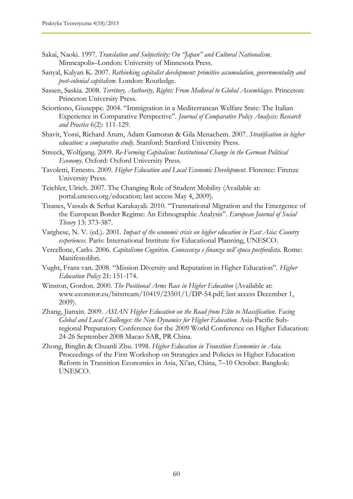- Sakai, Naoki. 1997. *Translation and Subjectivity: On "Japan" and Cultural Nationalism*. Minneapolis–London: University of Minnesota Press.
- Sanyal, Kalyan K. 2007. *Rethinking capitalist development: primitive accumulation, governmentality and post-colonial capitalism*. London: Routledge.
- Sassen, Saskia. 2008. *Territory, Authority, Rights: From Medieval to Global Assemblages*. Princeton: Princeton University Press.
- Sciortiono, Giuseppe. 2004. "Immigration in a Mediterranean Welfare State: The Italian Experience in Comparative Perspective". *Journal of Comparative Policy Analysis: Research and Practice* 6(2): 111-129.
- Shavit, Yossi, Richard Arum, Adam Gamoran & Gila Menachem. 2007. *Stratification in higher education: a comparative study*. Stanford: Stanford University Press.
- Streeck, Wolfgang. 2009. *Re-Forming Capitalism: Institutional Change in the German Political Economy*. Oxford: Oxford University Press.
- Tavoletti, Ernesto. 2009. *Higher Education and Local Economic Development.* Florence: Firenze University Press.
- Teichler, Ulrich. 2007. The Changing Role of Student Mobility (Available at: portal.unesco.org/education; last access May 4, 2009).
- Tisanes, Vassals & Serhat Karakayali. 2010. "Transnational Migration and the Emergence of the European Border Regime: An Ethnographic Analysis". *European Journal of Social Theory* 13: 373-387.
- Varghese, N. V. (ed.). 2001. *Impact of the economic crisis on higher education in East Asia: Country experiences.* Paris: International Institute for Educational Planning, UNESCO.
- Vercellone, Carlo. 2006. *Capitalismo Cognitivo. Conoscenza e finanza nell`epoca postfordista*. Rome: Manifestolibri.
- Vught, Frans van. 2008. "Mission Diversity and Reputation in Higher Education". *Higher Education Policy* 21: 151-174.
- Winston, Gordon. 2000. *The Positional Arms Race in Higher Education* (Available at: www.econstor.eu/bitstream/10419/23501/1/DP-54.pdf; last access December 1, 2009).
- Zhang, Jianxin. 2009. *ASIAN Higher Education on the Road from Elite to Massification*. *Facing Global and Local Challenges: the New Dynamics for Higher Education.* Asia-Pacific Subregional Preparatory Conference for the 2009 World Conference on Higher Education: 24-26 September 2008 Macao SAR, PR China.
- Zhong, Binglin & Chuanli Zhu. 1998. *Higher Education in Transition Economies in Asia.* Proceedings of the First Workshop on Strategies and Policies in Higher Education Reform in Transition Economies in Asia, Xi'an, China, 7–10 October. Bangkok: UNESCO.